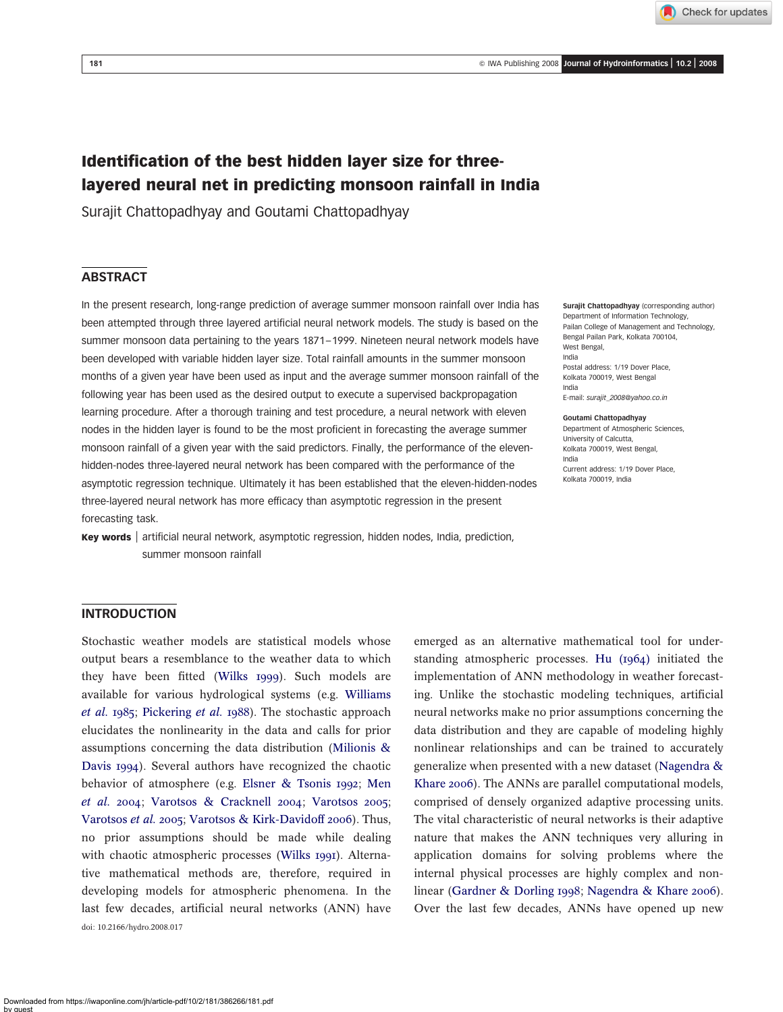Check for updates

# Identification of the best hidden layer size for threelayered neural net in predicting monsoon rainfall in India

Surajit Chattopadhyay and Goutami Chattopadhyay

# **ABSTRACT**

In the present research, long-range prediction of average summer monsoon rainfall over India has been attempted through three layered artificial neural network models. The study is based on the summer monsoon data pertaining to the years 1871–1999. Nineteen neural network models have been developed with variable hidden layer size. Total rainfall amounts in the summer monsoon months of a given year have been used as input and the average summer monsoon rainfall of the following year has been used as the desired output to execute a supervised backpropagation learning procedure. After a thorough training and test procedure, a neural network with eleven nodes in the hidden layer is found to be the most proficient in forecasting the average summer monsoon rainfall of a given year with the said predictors. Finally, the performance of the elevenhidden-nodes three-layered neural network has been compared with the performance of the asymptotic regression technique. Ultimately it has been established that the eleven-hidden-nodes three-layered neural network has more efficacy than asymptotic regression in the present forecasting task.

Key words | artificial neural network, asymptotic regression, hidden nodes, India, prediction, summer monsoon rainfall

Surajit Chattopadhyay (corresponding author) Department of Information Technology, Pailan College of Management and Technology, Bengal Pailan Park, Kolkata 700104, West Bengal, India Postal address: 1/19 Dover Place, Kolkata 700019, West Bengal India E-mail: surajit\_2008@yahoo.co.in

#### Goutami Chattopadhyay

Department of Atmospheric Sciences, University of Calcutta, Kolkata 700019, West Bengal, India Current address: 1/19 Dover Place, Kolkata 700019, India

### INTRODUCTION

Stochastic weather models are statistical models whose output bears a resemblance to the weather data to which they have been fitted ([Wilks 1999](#page-6-0)). Such models are available for various hydrological systems (e.g. [Williams](#page-6-0) [et al.](#page-6-0) 1985; [Pickering](#page-6-0) et al. 1988). The stochastic approach elucidates the nonlinearity in the data and calls for prior assumptions concerning the data distribution ([Milionis &](#page-6-0) [Davis 1994](#page-6-0)). Several authors have recognized the chaotic behavior of atmosphere (e.g. [Elsner & Tsonis 1992](#page-6-0); [Men](#page-6-0) [et al.](#page-6-0) 2004; [Varotsos & Cracknell 2004](#page-6-0); [Varotsos 2005](#page-6-0); [Varotsos](#page-6-0) et al. 2005; [Varotsos & Kirk-Davidoff 2006](#page-6-0)). Thus, no prior assumptions should be made while dealing with chaotic atmospheric processes ([Wilks 1991](#page-6-0)). Alternative mathematical methods are, therefore, required in developing models for atmospheric phenomena. In the last few decades, artificial neural networks (ANN) have doi: 10.2166/hydro.2008.017

emerged as an alternative mathematical tool for understanding atmospheric processes. [Hu \(1964\)](#page-6-0) initiated the implementation of ANN methodology in weather forecasting. Unlike the stochastic modeling techniques, artificial neural networks make no prior assumptions concerning the data distribution and they are capable of modeling highly nonlinear relationships and can be trained to accurately generalize when presented with a new dataset ([Nagendra &](#page-6-0) [Khare 2006](#page-6-0)). The ANNs are parallel computational models, comprised of densely organized adaptive processing units. The vital characteristic of neural networks is their adaptive nature that makes the ANN techniques very alluring in application domains for solving problems where the internal physical processes are highly complex and nonlinear ([Gardner & Dorling 1998](#page-6-0); [Nagendra & Khare 2006](#page-6-0)). Over the last few decades, ANNs have opened up new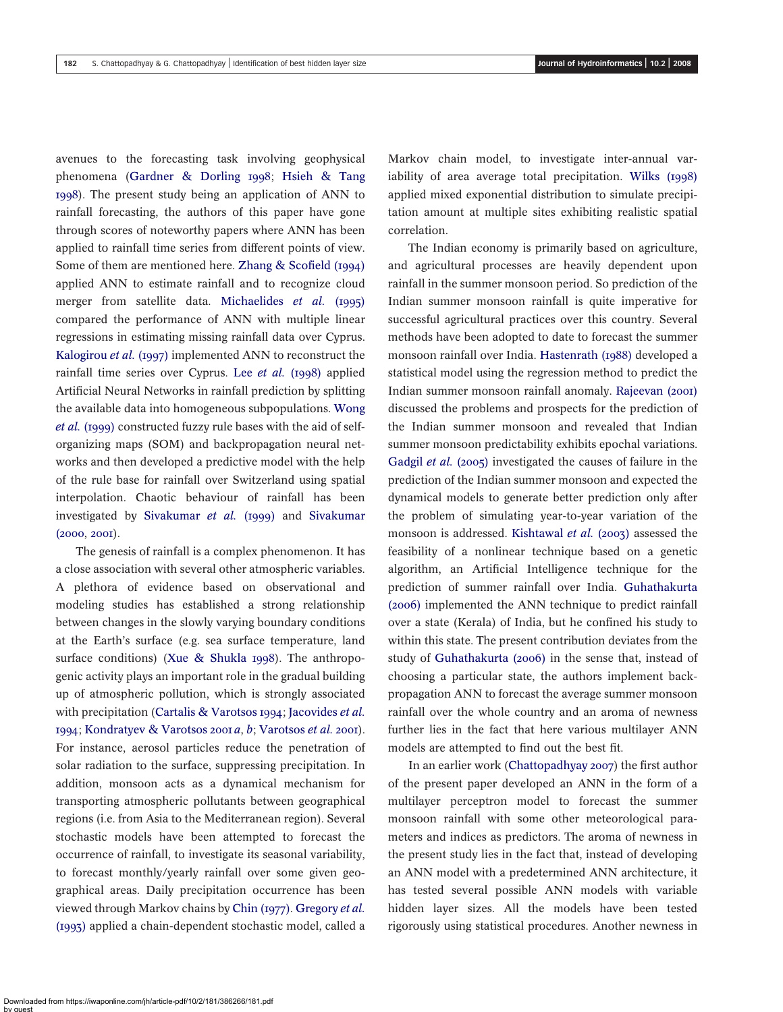avenues to the forecasting task involving geophysical phenomena ([Gardner & Dorling 1998](#page-6-0); [Hsieh & Tang](#page-6-0) [1998](#page-6-0)). The present study being an application of ANN to rainfall forecasting, the authors of this paper have gone through scores of noteworthy papers where ANN has been applied to rainfall time series from different points of view. Some of them are mentioned here. [Zhang & Scofield \(1994\)](#page-6-0) applied ANN to estimate rainfall and to recognize cloud merger from satellite data. [Michaelides](#page-6-0) et al. (1995) compared the performance of ANN with multiple linear regressions in estimating missing rainfall data over Cyprus. [Kalogirou](#page-6-0) et al. (1997) implemented ANN to reconstruct the rainfall time series over Cyprus. Lee et al. [\(1998\)](#page-6-0) applied Artificial Neural Networks in rainfall prediction by splitting the available data into homogeneous subpopulations. [Wong](#page-6-0) et al. [\(1999\)](#page-6-0) constructed fuzzy rule bases with the aid of selforganizing maps (SOM) and backpropagation neural networks and then developed a predictive model with the help of the rule base for rainfall over Switzerland using spatial interpolation. Chaotic behaviour of rainfall has been investigated by [Sivakumar](#page-6-0) et al. (1999) and [Sivakumar](#page-6-0) [\(2000](#page-6-0), [2001](#page-6-0)).

The genesis of rainfall is a complex phenomenon. It has a close association with several other atmospheric variables. A plethora of evidence based on observational and modeling studies has established a strong relationship between changes in the slowly varying boundary conditions at the Earth's surface (e.g. sea surface temperature, land surface conditions) ([Xue & Shukla 1998](#page-6-0)). The anthropogenic activity plays an important role in the gradual building up of atmospheric pollution, which is strongly associated with precipitation ([Cartalis & Varotsos 1994](#page-6-0); [Jacovides](#page-6-0) et al. [1994](#page-6-0); [Kondratyev & Varotsos 2001](#page-6-0) a, [b](#page-6-0); [Varotsos](#page-6-0) et al. 2001). For instance, aerosol particles reduce the penetration of solar radiation to the surface, suppressing precipitation. In addition, monsoon acts as a dynamical mechanism for transporting atmospheric pollutants between geographical regions (i.e. from Asia to the Mediterranean region). Several stochastic models have been attempted to forecast the occurrence of rainfall, to investigate its seasonal variability, to forecast monthly/yearly rainfall over some given geographical areas. Daily precipitation occurrence has been viewed through Markov chains by [Chin \(1977\)](#page-6-0). [Gregory](#page-6-0) et al. [\(1993\)](#page-6-0) applied a chain-dependent stochastic model, called a

Markov chain model, to investigate inter-annual variability of area average total precipitation. [Wilks \(1998\)](#page-6-0) applied mixed exponential distribution to simulate precipitation amount at multiple sites exhibiting realistic spatial correlation.

The Indian economy is primarily based on agriculture, and agricultural processes are heavily dependent upon rainfall in the summer monsoon period. So prediction of the Indian summer monsoon rainfall is quite imperative for successful agricultural practices over this country. Several methods have been adopted to date to forecast the summer monsoon rainfall over India. [Hastenrath \(1988\)](#page-6-0) developed a statistical model using the regression method to predict the Indian summer monsoon rainfall anomaly. [Rajeevan \(2001\)](#page-6-0) discussed the problems and prospects for the prediction of the Indian summer monsoon and revealed that Indian summer monsoon predictability exhibits epochal variations. [Gadgil](#page-6-0) et al. (2005) investigated the causes of failure in the prediction of the Indian summer monsoon and expected the dynamical models to generate better prediction only after the problem of simulating year-to-year variation of the monsoon is addressed. [Kishtawal](#page-6-0) et al. (2003) assessed the feasibility of a nonlinear technique based on a genetic algorithm, an Artificial Intelligence technique for the prediction of summer rainfall over India. [Guhathakurta](#page-6-0) [\(2006\)](#page-6-0) implemented the ANN technique to predict rainfall over a state (Kerala) of India, but he confined his study to within this state. The present contribution deviates from the study of [Guhathakurta \(2006\)](#page-6-0) in the sense that, instead of choosing a particular state, the authors implement backpropagation ANN to forecast the average summer monsoon rainfall over the whole country and an aroma of newness further lies in the fact that here various multilayer ANN models are attempted to find out the best fit.

In an earlier work ([Chattopadhyay 2007](#page-6-0)) the first author of the present paper developed an ANN in the form of a multilayer perceptron model to forecast the summer monsoon rainfall with some other meteorological parameters and indices as predictors. The aroma of newness in the present study lies in the fact that, instead of developing an ANN model with a predetermined ANN architecture, it has tested several possible ANN models with variable hidden layer sizes. All the models have been tested rigorously using statistical procedures. Another newness in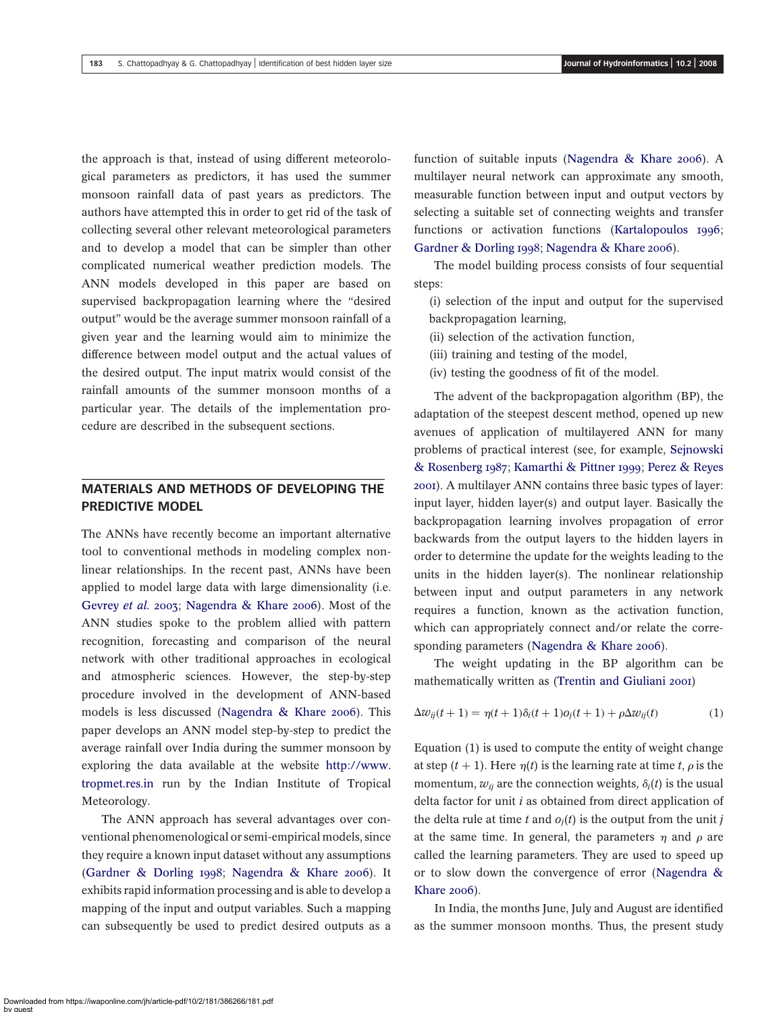the approach is that, instead of using different meteorological parameters as predictors, it has used the summer monsoon rainfall data of past years as predictors. The authors have attempted this in order to get rid of the task of collecting several other relevant meteorological parameters and to develop a model that can be simpler than other complicated numerical weather prediction models. The ANN models developed in this paper are based on supervised backpropagation learning where the "desired output" would be the average summer monsoon rainfall of a given year and the learning would aim to minimize the difference between model output and the actual values of the desired output. The input matrix would consist of the rainfall amounts of the summer monsoon months of a particular year. The details of the implementation procedure are described in the subsequent sections.

# MATERIALS AND METHODS OF DEVELOPING THE PREDICTIVE MODEL

The ANNs have recently become an important alternative tool to conventional methods in modeling complex nonlinear relationships. In the recent past, ANNs have been applied to model large data with large dimensionality (i.e. [Gevrey](#page-6-0) et al. 2003; [Nagendra & Khare 2006](#page-6-0)). Most of the ANN studies spoke to the problem allied with pattern recognition, forecasting and comparison of the neural network with other traditional approaches in ecological and atmospheric sciences. However, the step-by-step procedure involved in the development of ANN-based models is less discussed ([Nagendra & Khare 2006](#page-6-0)). This paper develops an ANN model step-by-step to predict the average rainfall over India during the summer monsoon by exploring the data available at the website [http://www.](http://www.tropmet.res.in) [tropmet.res.in](http://www.tropmet.res.in) run by the Indian Institute of Tropical Meteorology.

The ANN approach has several advantages over conventional phenomenological or semi-empirical models, since they require a known input dataset without any assumptions ([Gardner & Dorling 1998](#page-6-0); [Nagendra & Khare 2006](#page-6-0)). It exhibits rapid information processing and is able to develop a mapping of the input and output variables. Such a mapping can subsequently be used to predict desired outputs as a

function of suitable inputs ([Nagendra & Khare 2006](#page-6-0)). A multilayer neural network can approximate any smooth, measurable function between input and output vectors by selecting a suitable set of connecting weights and transfer functions or activation functions ([Kartalopoulos 1996](#page-6-0); [Gardner & Dorling 1998](#page-6-0); [Nagendra & Khare 2006](#page-6-0)).

The model building process consists of four sequential steps:

(i) selection of the input and output for the supervised backpropagation learning,

- (ii) selection of the activation function,
- (iii) training and testing of the model,
- (iv) testing the goodness of fit of the model.

The advent of the backpropagation algorithm (BP), the adaptation of the steepest descent method, opened up new avenues of application of multilayered ANN for many problems of practical interest (see, for example, [Sejnowski](#page-6-0) [& Rosenberg 1987](#page-6-0); [Kamarthi & Pittner 1999](#page-6-0); [Perez & Reyes](#page-6-0) [2001](#page-6-0)). A multilayer ANN contains three basic types of layer: input layer, hidden layer(s) and output layer. Basically the backpropagation learning involves propagation of error backwards from the output layers to the hidden layers in order to determine the update for the weights leading to the units in the hidden layer(s). The nonlinear relationship between input and output parameters in any network requires a function, known as the activation function, which can appropriately connect and/or relate the corresponding parameters ([Nagendra & Khare 2006](#page-6-0)).

The weight updating in the BP algorithm can be mathematically written as ([Trentin and Giuliani 2001](#page-6-0))

$$
\Delta w_{ij}(t+1) = \eta(t+1)\delta_i(t+1)o_j(t+1) + \rho \Delta w_{ij}(t) \tag{1}
$$

Equation (1) is used to compute the entity of weight change at step  $(t + 1)$ . Here  $\eta(t)$  is the learning rate at time t,  $\rho$  is the momentum,  $w_{ii}$  are the connection weights,  $\delta_i(t)$  is the usual delta factor for unit  $i$  as obtained from direct application of the delta rule at time t and  $o_i(t)$  is the output from the unit j at the same time. In general, the parameters  $\eta$  and  $\rho$  are called the learning parameters. They are used to speed up or to slow down the convergence of error ([Nagendra &](#page-6-0) [Khare 2006](#page-6-0)).

In India, the months June, July and August are identified as the summer monsoon months. Thus, the present study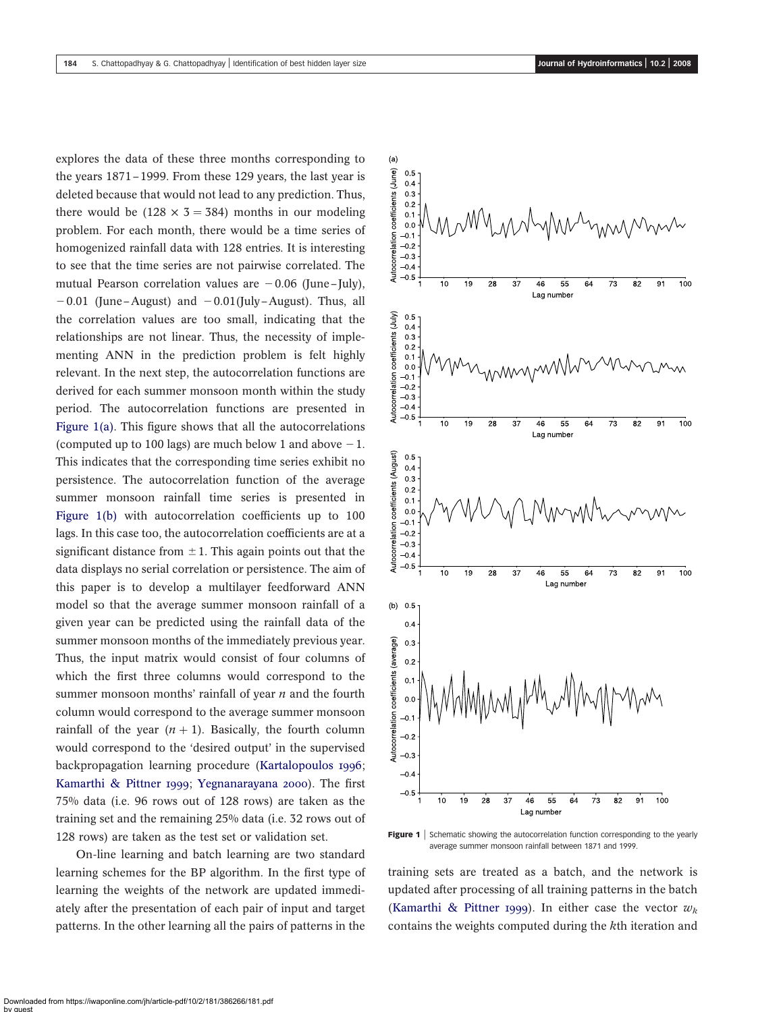explores the data of these three months corresponding to the years 1871–1999. From these 129 years, the last year is deleted because that would not lead to any prediction. Thus, there would be (128  $\times$  3 = 384) months in our modeling problem. For each month, there would be a time series of homogenized rainfall data with 128 entries. It is interesting to see that the time series are not pairwise correlated. The mutual Pearson correlation values are  $-0.06$  (June–July),  $-0.01$  (June–August) and  $-0.01$ (July–August). Thus, all the correlation values are too small, indicating that the relationships are not linear. Thus, the necessity of implementing ANN in the prediction problem is felt highly relevant. In the next step, the autocorrelation functions are derived for each summer monsoon month within the study period. The autocorrelation functions are presented in Figure 1(a). This figure shows that all the autocorrelations (computed up to 100 lags) are much below 1 and above  $-1$ . This indicates that the corresponding time series exhibit no persistence. The autocorrelation function of the average summer monsoon rainfall time series is presented in Figure 1(b) with autocorrelation coefficients up to 100 lags. In this case too, the autocorrelation coefficients are at a significant distance from  $\pm$  1. This again points out that the data displays no serial correlation or persistence. The aim of this paper is to develop a multilayer feedforward ANN model so that the average summer monsoon rainfall of a given year can be predicted using the rainfall data of the summer monsoon months of the immediately previous year. Thus, the input matrix would consist of four columns of which the first three columns would correspond to the summer monsoon months' rainfall of year  $n$  and the fourth column would correspond to the average summer monsoon rainfall of the year  $(n + 1)$ . Basically, the fourth column would correspond to the 'desired output' in the supervised backpropagation learning procedure ([Kartalopoulos 1996](#page-6-0); [Kamarthi & Pittner 1999](#page-6-0); [Yegnanarayana 2000](#page-6-0)). The first 75% data (i.e. 96 rows out of 128 rows) are taken as the training set and the remaining 25% data (i.e. 32 rows out of 128 rows) are taken as the test set or validation set.

On-line learning and batch learning are two standard learning schemes for the BP algorithm. In the first type of learning the weights of the network are updated immediately after the presentation of each pair of input and target patterns. In the other learning all the pairs of patterns in the



Figure 1 | Schematic showing the autocorrelation function corresponding to the yearly average summer monsoon rainfall between 1871 and 1999.

training sets are treated as a batch, and the network is updated after processing of all training patterns in the batch ([Kamarthi & Pittner 1999](#page-6-0)). In either case the vector  $w_k$ contains the weights computed during the kth iteration and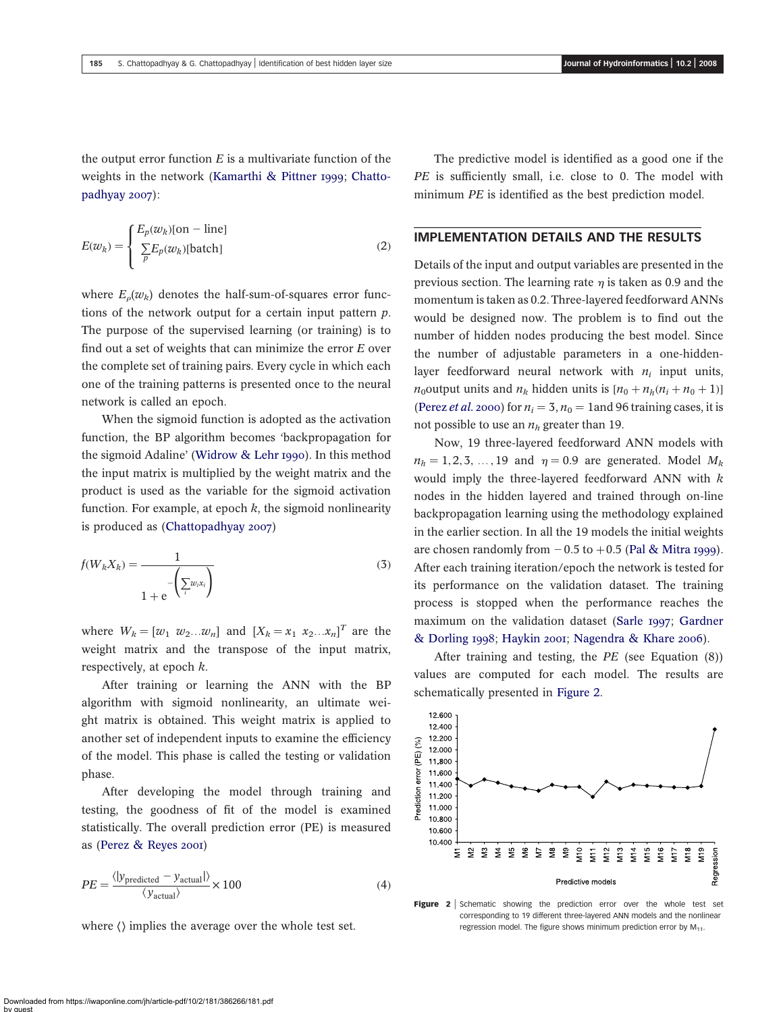<span id="page-4-0"></span>the output error function  $E$  is a multivariate function of the weights in the network ([Kamarthi & Pittner 1999](#page-6-0); [Chatto](#page-6-0)[padhyay 2007](#page-6-0)):

$$
E(w_k) = \begin{cases} E_p(w_k)[\text{on} - \text{line}] \\ \sum_p E_p(w_k)[\text{batch}] \end{cases}
$$
 (2)

where  $E_o(w_k)$  denotes the half-sum-of-squares error functions of the network output for a certain input pattern p. The purpose of the supervised learning (or training) is to find out a set of weights that can minimize the error  $E$  over the complete set of training pairs. Every cycle in which each one of the training patterns is presented once to the neural network is called an epoch.

When the sigmoid function is adopted as the activation function, the BP algorithm becomes 'backpropagation for the sigmoid Adaline' ([Widrow & Lehr 1990](#page-6-0)). In this method the input matrix is multiplied by the weight matrix and the product is used as the variable for the sigmoid activation function. For example, at epoch  $k$ , the sigmoid nonlinearity is produced as ([Chattopadhyay 2007](#page-6-0))

$$
f(W_k X_k) = \frac{1}{1 + e^{-\left(\sum w_i x_i\right)}}
$$
(3)

where  $W_k = [w_1 \ w_2...w_n]$  and  $[X_k = x_1 \ x_2...x_n]^T$  are the weight matrix and the transpose of the input matrix, respectively, at epoch k.

After training or learning the ANN with the BP algorithm with sigmoid nonlinearity, an ultimate weight matrix is obtained. This weight matrix is applied to another set of independent inputs to examine the efficiency of the model. This phase is called the testing or validation phase.

After developing the model through training and testing, the goodness of fit of the model is examined statistically. The overall prediction error (PE) is measured as ([Perez & Reyes 2001](#page-6-0))

$$
PE = \frac{\langle |y_{\text{predicted}} - y_{\text{actual}}| \rangle}{\langle y_{\text{actual}} \rangle} \times 100
$$
 (4)

where  $\langle \rangle$  implies the average over the whole test set.

The predictive model is identified as a good one if the PE is sufficiently small, i.e. close to 0. The model with minimum *PE* is identified as the best prediction model.

#### IMPLEMENTATION DETAILS AND THE RESULTS

Details of the input and output variables are presented in the previous section. The learning rate  $\eta$  is taken as 0.9 and the momentum is taken as 0.2. Three-layered feedforward ANNs would be designed now. The problem is to find out the number of hidden nodes producing the best model. Since the number of adjustable parameters in a one-hiddenlayer feedforward neural network with  $n_i$  input units,  $n_0$ output units and  $n_k$  hidden units is  $[n_0 + n_h(n_i + n_0 + 1)]$ ([Perez](#page-6-0) *et al.* 2000) for  $n_i = 3$ ,  $n_0 = 1$  and 96 training cases, it is not possible to use an  $n_h$  greater than 19.

Now, 19 three-layered feedforward ANN models with  $n_h = 1, 2, 3, \ldots, 19$  and  $\eta = 0.9$  are generated. Model  $M_k$ would imply the three-layered feedforward ANN with  $k$ nodes in the hidden layered and trained through on-line backpropagation learning using the methodology explained in the earlier section. In all the 19 models the initial weights are chosen randomly from  $-0.5$  to  $+0.5$  ([Pal & Mitra 1999](#page-6-0)). After each training iteration/epoch the network is tested for its performance on the validation dataset. The training process is stopped when the performance reaches the maximum on the validation dataset ([Sarle 1997](#page-6-0); [Gardner](#page-6-0) [& Dorling 1998](#page-6-0); [Haykin 2001](#page-6-0); [Nagendra & Khare 2006](#page-6-0)).

After training and testing, the PE (see Equation (8)) values are computed for each model. The results are schematically presented in Figure 2.



Figure 2 | Schematic showing the prediction error over the whole test set corresponding to 19 different three-layered ANN models and the nonlinear regression model. The figure shows minimum prediction error by  $M<sub>11</sub>$ .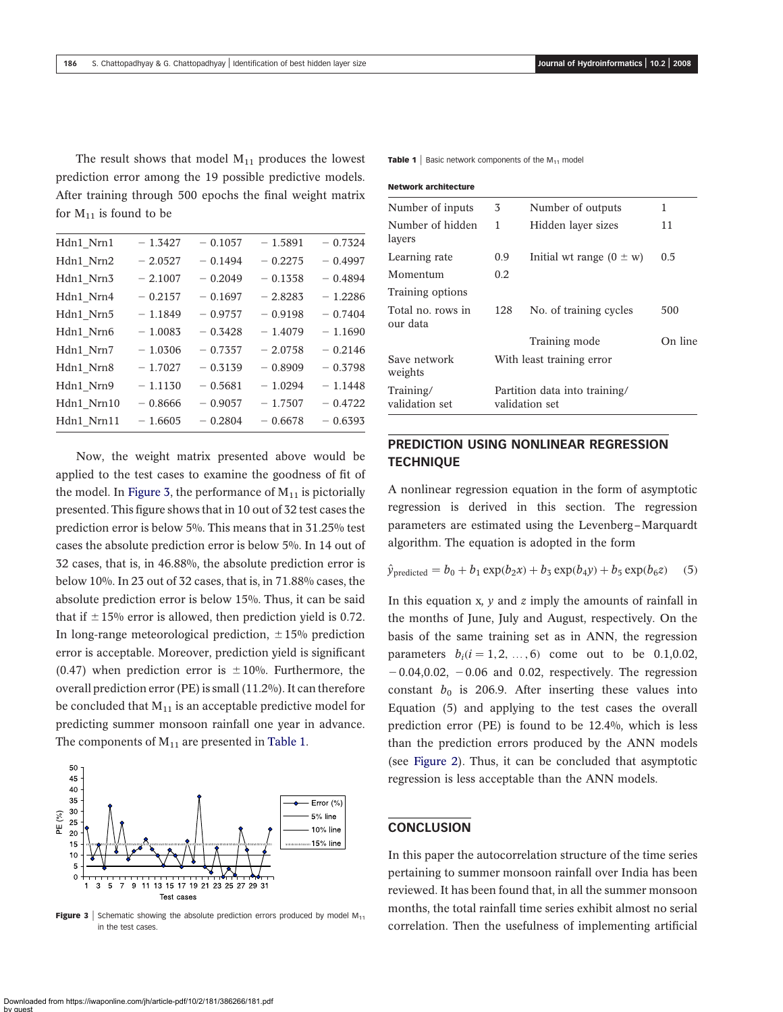The result shows that model  $M_{11}$  produces the lowest prediction error among the 19 possible predictive models. After training through 500 epochs the final weight matrix for  $M_{11}$  is found to be

| Hdn1_Nrn1  | $-1.3427$ | $-0.1057$ | $-1.5891$ | $-0.7324$ |
|------------|-----------|-----------|-----------|-----------|
| Hdn1_Nrn2  | $-2.0527$ | $-0.1494$ | $-0.2275$ | $-0.4997$ |
| Hdn1_Nrn3  | $-2.1007$ | $-0.2049$ | $-0.1358$ | $-0.4894$ |
| Hdn1_Nrn4  | $-0.2157$ | $-0.1697$ | $-2.8283$ | $-1.2286$ |
| Hdn1_Nrn5  | $-1.1849$ | $-0.9757$ | $-0.9198$ | $-0.7404$ |
| Hdn1_Nrn6  | $-1.0083$ | $-0.3428$ | $-1.4079$ | $-1.1690$ |
| Hdn1 Nrn7  | $-1.0306$ | $-0.7357$ | $-2.0758$ | $-0.2146$ |
| Hdn1_Nrn8  | $-1.7027$ | $-0.3139$ | $-0.8909$ | $-0.3798$ |
| Hdn1_Nrn9  | $-1.1130$ | $-0.5681$ | $-1.0294$ | $-1.1448$ |
| Hdn1_Nrn10 | $-0.8666$ | $-0.9057$ | $-1.7507$ | $-0.4722$ |
| Hdn1 Nrn11 | $-1.6605$ | $-0.2804$ | $-0.6678$ | $-0.6393$ |
|            |           |           |           |           |

Now, the weight matrix presented above would be applied to the test cases to examine the goodness of fit of the model. In Figure 3, the performance of  $M_{11}$  is pictorially presented. This figure shows that in 10 out of 32 test cases the prediction error is below 5%. This means that in 31.25% test cases the absolute prediction error is below 5%. In 14 out of 32 cases, that is, in 46.88%, the absolute prediction error is below 10%. In 23 out of 32 cases, that is, in 71.88% cases, the absolute prediction error is below 15%. Thus, it can be said that if  $\pm 15\%$  error is allowed, then prediction yield is 0.72. In long-range meteorological prediction,  $\pm$  15% prediction error is acceptable. Moreover, prediction yield is significant (0.47) when prediction error is  $\pm 10\%$ . Furthermore, the overall prediction error (PE) is small (11.2%). It can therefore be concluded that  $M_{11}$  is an acceptable predictive model for predicting summer monsoon rainfall one year in advance. The components of  $M_{11}$  are presented in Table 1.



**Figure 3** Schematic showing the absolute prediction errors produced by model  $M_{11}$ in the test cases.

**Table 1** Basic network components of the  $M_{11}$  model

| <b>Network architecture</b>   |                                                 |                              |         |
|-------------------------------|-------------------------------------------------|------------------------------|---------|
| Number of inputs              | 3                                               | Number of outputs            | 1       |
| Number of hidden<br>layers    | 1                                               | Hidden layer sizes           | 11      |
| Learning rate                 | 0.9                                             | Initial wt range $(0 \pm w)$ | 0.5     |
| Momentum                      | 0.2                                             |                              |         |
| Training options              |                                                 |                              |         |
| Total no. rows in<br>our data | 128                                             | No. of training cycles       | 500     |
|                               |                                                 | Training mode                | On line |
| Save network<br>weights       | With least training error                       |                              |         |
| Training/<br>validation set   | Partition data into training/<br>validation set |                              |         |

# PREDICTION USING NONLINEAR REGRESSION **TECHNIQUE**

A nonlinear regression equation in the form of asymptotic regression is derived in this section. The regression parameters are estimated using the Levenberg–Marquardt algorithm. The equation is adopted in the form

$$
\hat{y}_{\text{predicted}} = b_0 + b_1 \exp(b_2 x) + b_3 \exp(b_4 y) + b_5 \exp(b_6 z) \quad (5)
$$

In this equation x,  $y$  and  $z$  imply the amounts of rainfall in the months of June, July and August, respectively. On the basis of the same training set as in ANN, the regression parameters  $b_i (i = 1, 2, ..., 6)$  come out to be 0.1,0.02,  $-0.04,0.02$ ,  $-0.06$  and 0.02, respectively. The regression constant  $b_0$  is 206.9. After inserting these values into Equation (5) and applying to the test cases the overall prediction error (PE) is found to be 12.4%, which is less than the prediction errors produced by the ANN models (see [Figure 2](#page-4-0)). Thus, it can be concluded that asymptotic regression is less acceptable than the ANN models.

#### **CONCLUSION**

In this paper the autocorrelation structure of the time series pertaining to summer monsoon rainfall over India has been reviewed. It has been found that, in all the summer monsoon months, the total rainfall time series exhibit almost no serial correlation. Then the usefulness of implementing artificial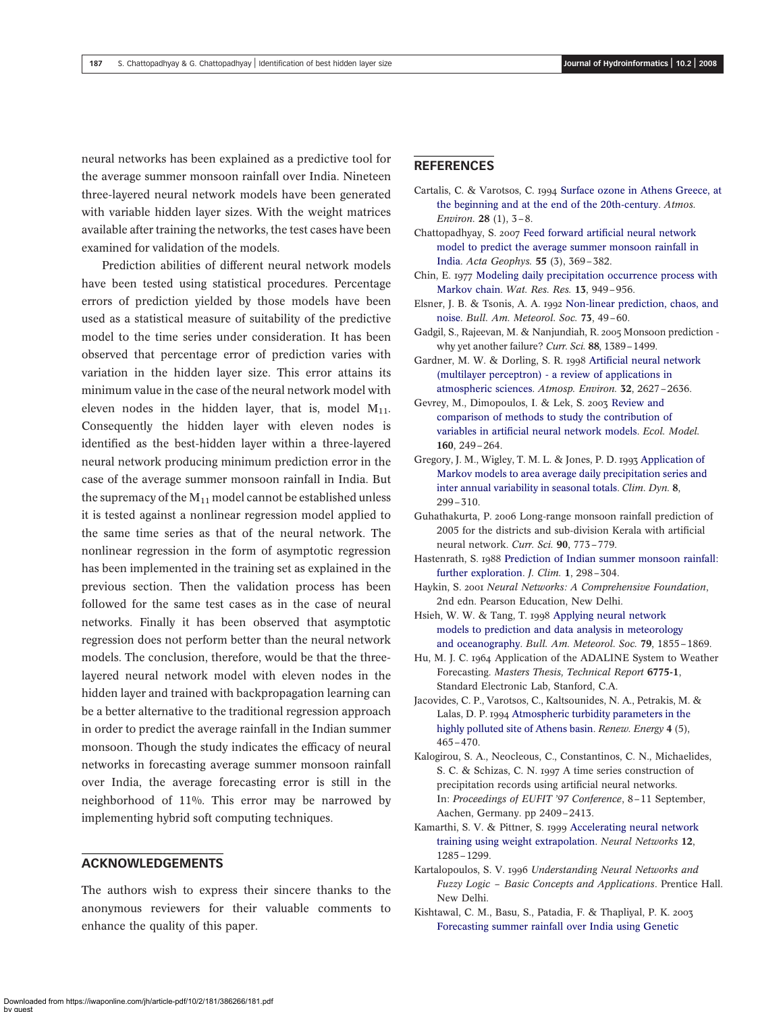<span id="page-6-0"></span>neural networks has been explained as a predictive tool for the average summer monsoon rainfall over India. Nineteen three-layered neural network models have been generated with variable hidden layer sizes. With the weight matrices available after training the networks, the test cases have been examined for validation of the models.

Prediction abilities of different neural network models have been tested using statistical procedures. Percentage errors of prediction yielded by those models have been used as a statistical measure of suitability of the predictive model to the time series under consideration. It has been observed that percentage error of prediction varies with variation in the hidden layer size. This error attains its minimum value in the case of the neural network model with eleven nodes in the hidden layer, that is, model  $M_{11}$ . Consequently the hidden layer with eleven nodes is identified as the best-hidden layer within a three-layered neural network producing minimum prediction error in the case of the average summer monsoon rainfall in India. But the supremacy of the  $M_{11}$  model cannot be established unless it is tested against a nonlinear regression model applied to the same time series as that of the neural network. The nonlinear regression in the form of asymptotic regression has been implemented in the training set as explained in the previous section. Then the validation process has been followed for the same test cases as in the case of neural networks. Finally it has been observed that asymptotic regression does not perform better than the neural network models. The conclusion, therefore, would be that the threelayered neural network model with eleven nodes in the hidden layer and trained with backpropagation learning can be a better alternative to the traditional regression approach in order to predict the average rainfall in the Indian summer monsoon. Though the study indicates the efficacy of neural networks in forecasting average summer monsoon rainfall over India, the average forecasting error is still in the neighborhood of 11%. This error may be narrowed by implementing hybrid soft computing techniques.

#### ACKNOWLEDGEMENTS

The authors wish to express their sincere thanks to the anonymous reviewers for their valuable comments to enhance the quality of this paper.

#### REFERENCES

- Cartalis, C. & Varotsos, C. 1994 [Surface ozone in Athens Greece, at](http://dx.doi.org/10.1016/1352-2310(94)90018-3) [the beginning and at the end of the 20th-century.](http://dx.doi.org/10.1016/1352-2310(94)90018-3) Atmos. Environ. 28 (1), 3–8.
- Chattopadhyay, S. 2007 [Feed forward artificial neural network](http://dx.doi.org/10.2478/s11600-007-0020-8) [model to predict the average summer monsoon rainfall in](http://dx.doi.org/10.2478/s11600-007-0020-8) [India](http://dx.doi.org/10.2478/s11600-007-0020-8). Acta Geophys. 55 (3), 369–382.
- Chin, E. 1977 [Modeling daily precipitation occurrence process with](http://dx.doi.org/10.1029/WR013i006p00949) [Markov chain](http://dx.doi.org/10.1029/WR013i006p00949). Wat. Res. Res. 13, 949–956.
- Elsner, J. B. & Tsonis, A. A. 1992 [Non-linear prediction, chaos, and](http://dx.doi.org/10.1175/1520-0477(1992)073<0049:NPCAN>2.0.CO;2) [noise](http://dx.doi.org/10.1175/1520-0477(1992)073<0049:NPCAN>2.0.CO;2). Bull. Am. Meteorol. Soc. 73, 49–60.
- Gadgil, S., Rajeevan, M. & Nanjundiah, R. 2005 Monsoon prediction why yet another failure? Curr. Sci. 88, 1389–1499.
- Gardner, M. W. & Dorling, S. R. 1998 [Artificial neural network](http://dx.doi.org/10.1016/S1352-2310(97)00447-0) [\(multilayer perceptron\) - a review of applications in](http://dx.doi.org/10.1016/S1352-2310(97)00447-0) [atmospheric sciences](http://dx.doi.org/10.1016/S1352-2310(97)00447-0). Atmosp. Environ. 32, 2627–2636.
- Gevrey, M., Dimopoulos, I. & Lek, S. 2003 [Review and](http://dx.doi.org/10.1016/S0304-3800(02)00257-0) [comparison of methods to study the contribution of](http://dx.doi.org/10.1016/S0304-3800(02)00257-0) [variables in artificial neural network models](http://dx.doi.org/10.1016/S0304-3800(02)00257-0). Ecol. Model. 160, 249–264.
- Gregory, J. M., Wigley, T. M. L. & Jones, P. D. 1993 [Application of](http://dx.doi.org/10.1007/BF00209669) [Markov models to area average daily precipitation series and](http://dx.doi.org/10.1007/BF00209669) [inter annual variability in seasonal totals.](http://dx.doi.org/10.1007/BF00209669) Clim. Dyn. 8, 299–310.
- Guhathakurta, P. 2006 Long-range monsoon rainfall prediction of 2005 for the districts and sub-division Kerala with artificial neural network. Curr. Sci. 90, 773–779.
- Hastenrath, S. 1988 [Prediction of Indian summer monsoon rainfall:](http://dx.doi.org/10.1175/1520-0442(1988)001<0298:POIMRF>2.0.CO;2) [further exploration.](http://dx.doi.org/10.1175/1520-0442(1988)001<0298:POIMRF>2.0.CO;2) *J. Clim.* 1, 298-304.
- Haykin, S. 2001 Neural Networks: A Comprehensive Foundation, 2nd edn. Pearson Education, New Delhi.
- Hsieh, W. W. & Tang, T. 1998 [Applying neural network](http://dx.doi.org/10.1175/1520-0477(1998)079<1855:ANNMTP>2.0.CO;2) [models to prediction and data analysis in meteorology](http://dx.doi.org/10.1175/1520-0477(1998)079<1855:ANNMTP>2.0.CO;2) [and oceanography.](http://dx.doi.org/10.1175/1520-0477(1998)079<1855:ANNMTP>2.0.CO;2) Bull. Am. Meteorol. Soc. 79, 1855–1869.
- Hu, M. J. C. 1964 Application of the ADALINE System to Weather Forecasting. Masters Thesis, Technical Report 6775-1, Standard Electronic Lab, Stanford, C.A.
- Jacovides, C. P., Varotsos, C., Kaltsounides, N. A., Petrakis, M. & Lalas, D. P. 1994 [Atmospheric turbidity parameters in the](http://dx.doi.org/10.1016/0960-1481(94)90208-9) [highly polluted site of Athens basin](http://dx.doi.org/10.1016/0960-1481(94)90208-9). Renew. Energy 4 (5), 465–470.
- Kalogirou, S. A., Neocleous, C., Constantinos, C. N., Michaelides, S. C. & Schizas, C. N. 1997 A time series construction of precipitation records using artificial neural networks. In: Proceedings of EUFIT '97 Conference, 8–11 September, Aachen, Germany. pp 2409–2413.
- Kamarthi, S. V. & Pittner, S. 1999 [Accelerating neural network](http://dx.doi.org/10.1016/S0893-6080(99)00072-6) [training using weight extrapolation.](http://dx.doi.org/10.1016/S0893-6080(99)00072-6) Neural Networks 12, 1285–1299.
- Kartalopoulos, S. V. 1996 Understanding Neural Networks and Fuzzy Logic – Basic Concepts and Applications. Prentice Hall. New Delhi.
- Kishtawal, C. M., Basu, S., Patadia, F. & Thapliyal, P. K. 2003 [Forecasting summer rainfall over India using Genetic](http://dx.doi.org/10.1029/2003GL018504)